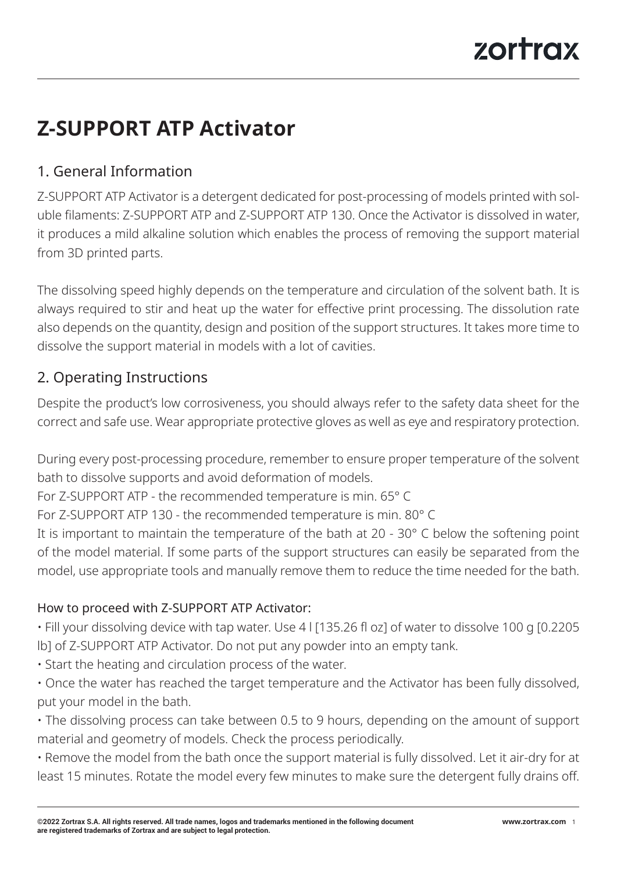# **Z-SUPPORT ATP Activator**

# 1. General Information

Z-SUPPORT ATP Activator is a detergent dedicated for post-processing of models printed with soluble filaments: Z-SUPPORT ATP and Z-SUPPORT ATP 130. Once the Activator is dissolved in water, it produces a mild alkaline solution which enables the process of removing the support material from 3D printed parts.

The dissolving speed highly depends on the temperature and circulation of the solvent bath. It is always required to stir and heat up the water for effective print processing. The dissolution rate also depends on the quantity, design and position of the support structures. It takes more time to dissolve the support material in models with a lot of cavities.

# 2. Operating Instructions

Despite the product's low corrosiveness, you should always refer to the safety data sheet for the correct and safe use. Wear appropriate protective gloves as well as eye and respiratory protection.

During every post-processing procedure, remember to ensure proper temperature of the solvent bath to dissolve supports and avoid deformation of models.

For Z-SUPPORT ATP - the recommended temperature is min. 65° C

For Z-SUPPORT ATP 130 - the recommended temperature is min. 80° C

It is important to maintain the temperature of the bath at 20 - 30° C below the softening point of the model material. If some parts of the support structures can easily be separated from the model, use appropriate tools and manually remove them to reduce the time needed for the bath.

#### How to proceed with Z-SUPPORT ATP Activator:

• Fill your dissolving device with tap water. Use 4 l [135.26 fl oz] of water to dissolve 100 g [0.2205 lb] of Z-SUPPORT ATP Activator. Do not put any powder into an empty tank.

- Start the heating and circulation process of the water.
- Once the water has reached the target temperature and the Activator has been fully dissolved, put your model in the bath.
- The dissolving process can take between 0.5 to 9 hours, depending on the amount of support material and geometry of models. Check the process periodically.

• Remove the model from the bath once the support material is fully dissolved. Let it air-dry for at least 15 minutes. Rotate the model every few minutes to make sure the detergent fully drains off.